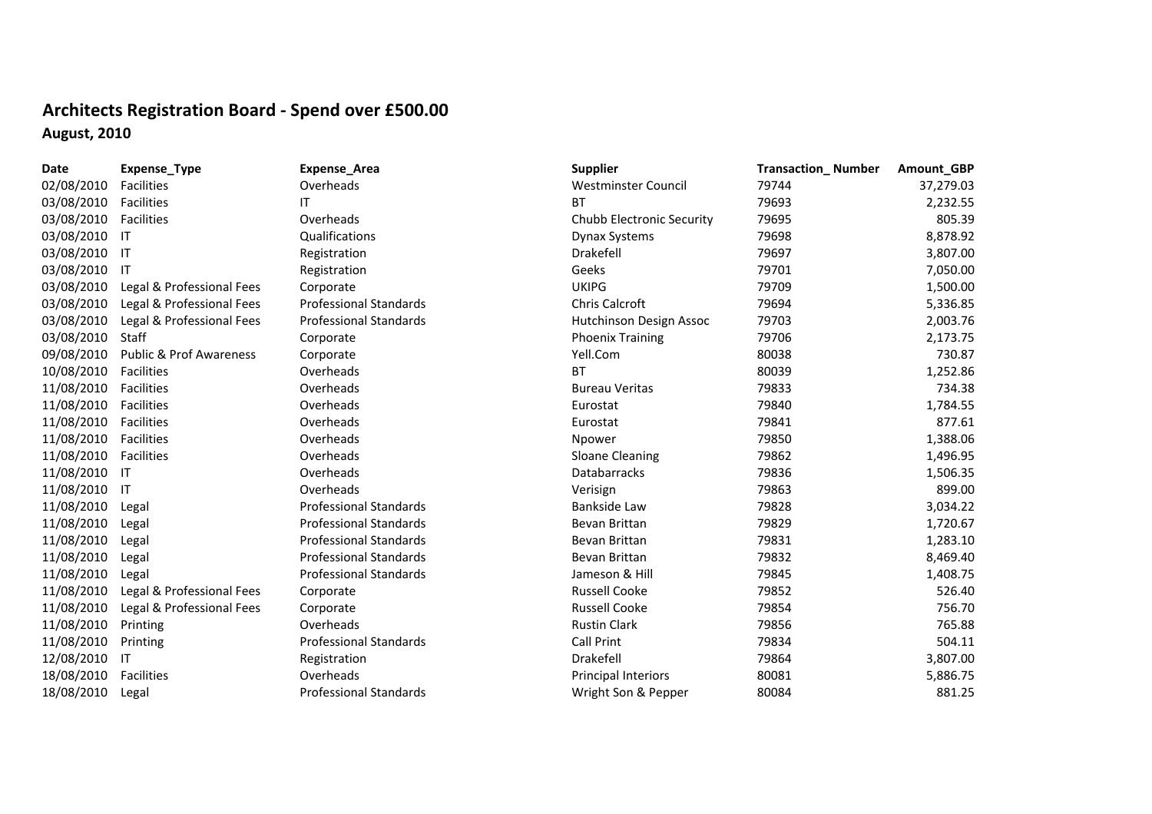## **Architects Registration Board ‐ Spend over £500.00 August, 2010**

| Date       | Expense_Type                       | <b>Expense_Area</b>           | <b>Supplier</b>            | <b>Transaction_Number</b> | Amount_GBP |
|------------|------------------------------------|-------------------------------|----------------------------|---------------------------|------------|
| 02/08/2010 | Facilities                         | Overheads                     | Westminster Council        | 79744                     | 37,279.03  |
| 03/08/2010 | Facilities                         | IΤ                            | <b>BT</b>                  | 79693                     | 2,232.55   |
| 03/08/2010 | Facilities                         | Overheads                     | Chubb Electronic Security  | 79695                     | 805.39     |
| 03/08/2010 | $\mathsf{I}$                       | Qualifications                | <b>Dynax Systems</b>       | 79698                     | 8,878.92   |
| 03/08/2010 | $\mathsf{I}$                       | Registration                  | Drakefell                  | 79697                     | 3,807.00   |
| 03/08/2010 | IT                                 | Registration                  | Geeks                      | 79701                     | 7,050.00   |
| 03/08/2010 | Legal & Professional Fees          | Corporate                     | <b>UKIPG</b>               | 79709                     | 1,500.00   |
| 03/08/2010 | Legal & Professional Fees          | <b>Professional Standards</b> | Chris Calcroft             | 79694                     | 5,336.85   |
| 03/08/2010 | Legal & Professional Fees          | <b>Professional Standards</b> | Hutchinson Design Assoc    | 79703                     | 2,003.76   |
| 03/08/2010 | Staff                              | Corporate                     | <b>Phoenix Training</b>    | 79706                     | 2,173.75   |
| 09/08/2010 | <b>Public &amp; Prof Awareness</b> | Corporate                     | Yell.Com                   | 80038                     | 730.87     |
| 10/08/2010 | Facilities                         | Overheads                     | <b>BT</b>                  | 80039                     | 1,252.86   |
| 11/08/2010 | Facilities                         | Overheads                     | <b>Bureau Veritas</b>      | 79833                     | 734.38     |
| 11/08/2010 | Facilities                         | Overheads                     | Eurostat                   | 79840                     | 1,784.55   |
| 11/08/2010 | Facilities                         | Overheads                     | Eurostat                   | 79841                     | 877.61     |
| 11/08/2010 | Facilities                         | Overheads                     | Npower                     | 79850                     | 1,388.06   |
| 11/08/2010 | Facilities                         | Overheads                     | <b>Sloane Cleaning</b>     | 79862                     | 1,496.95   |
| 11/08/2010 | -IT                                | Overheads                     | <b>Databarracks</b>        | 79836                     | 1,506.35   |
| 11/08/2010 | $\mathsf{I}\mathsf{T}$             | Overheads                     | Verisign                   | 79863                     | 899.00     |
| 11/08/2010 | Legal                              | <b>Professional Standards</b> | Bankside Law               | 79828                     | 3,034.22   |
| 11/08/2010 | Legal                              | <b>Professional Standards</b> | Bevan Brittan              | 79829                     | 1,720.67   |
| 11/08/2010 | Legal                              | <b>Professional Standards</b> | Bevan Brittan              | 79831                     | 1,283.10   |
| 11/08/2010 | Legal                              | <b>Professional Standards</b> | Bevan Brittan              | 79832                     | 8,469.40   |
| 11/08/2010 | Legal                              | <b>Professional Standards</b> | Jameson & Hill             | 79845                     | 1,408.75   |
| 11/08/2010 | Legal & Professional Fees          | Corporate                     | <b>Russell Cooke</b>       | 79852                     | 526.40     |
| 11/08/2010 | Legal & Professional Fees          | Corporate                     | <b>Russell Cooke</b>       | 79854                     | 756.70     |
| 11/08/2010 | Printing                           | Overheads                     | <b>Rustin Clark</b>        | 79856                     | 765.88     |
| 11/08/2010 | Printing                           | <b>Professional Standards</b> | <b>Call Print</b>          | 79834                     | 504.11     |
| 12/08/2010 | -IT                                | Registration                  | Drakefell                  | 79864                     | 3,807.00   |
| 18/08/2010 | <b>Facilities</b>                  | Overheads                     | <b>Principal Interiors</b> | 80081                     | 5,886.75   |
| 18/08/2010 | Legal                              | <b>Professional Standards</b> | Wright Son & Pepper        | 80084                     | 881.25     |
|            |                                    |                               |                            |                           |            |